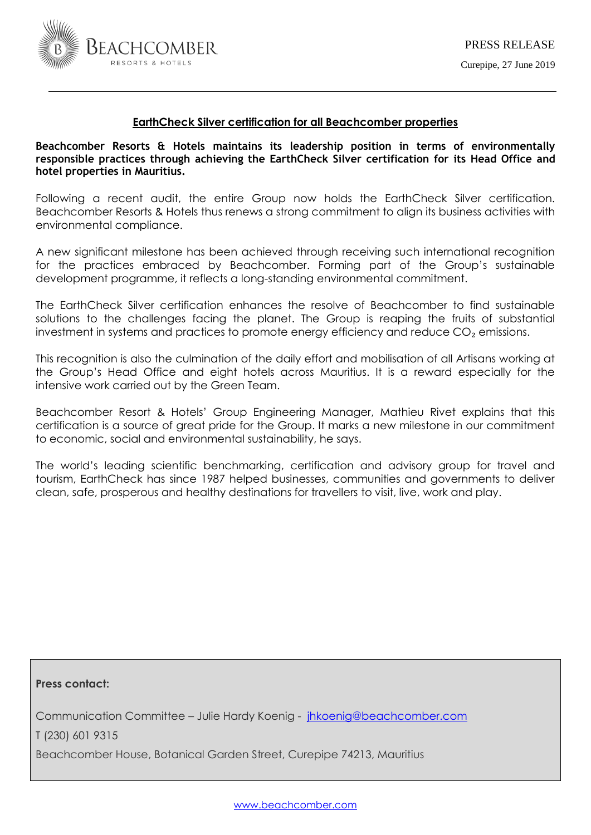

# **EarthCheck Silver certification for all Beachcomber properties**

**Beachcomber Resorts & Hotels maintains its leadership position in terms of environmentally responsible practices through achieving the EarthCheck Silver certification for its Head Office and hotel properties in Mauritius.**

Following a recent audit, the entire Group now holds the EarthCheck Silver certification. Beachcomber Resorts & Hotels thus renews a strong commitment to align its business activities with environmental compliance.

A new significant milestone has been achieved through receiving such international recognition for the practices embraced by Beachcomber. Forming part of the Group's sustainable development programme, it reflects a long-standing environmental commitment.

The EarthCheck Silver certification enhances the resolve of Beachcomber to find sustainable solutions to the challenges facing the planet. The Group is reaping the fruits of substantial investment in systems and practices to promote energy efficiency and reduce  $CO<sub>2</sub>$  emissions.

This recognition is also the culmination of the daily effort and mobilisation of all Artisans working at the Group's Head Office and eight hotels across Mauritius. It is a reward especially for the intensive work carried out by the Green Team.

Beachcomber Resort & Hotels' Group Engineering Manager, Mathieu Rivet explains that this certification is a source of great pride for the Group. It marks a new milestone in our commitment to economic, social and environmental sustainability, he says.

The world's leading scientific benchmarking, certification and advisory group for travel and tourism, EarthCheck has since 1987 helped businesses, communities and governments to deliver clean, safe, prosperous and healthy destinations for travellers to visit, live, work and play.

**Press contact:** 

Communication Committee – Julie Hardy Koenig - [jhkoenig@beachcomber.com](mailto:jhkoenig@beachcomber.com) 

T (230) 601 9315

Beachcomber House, Botanical Garden Street, Curepipe 74213, Mauritius

[www.beachcomber.com](http://www.beachcomber.com/)